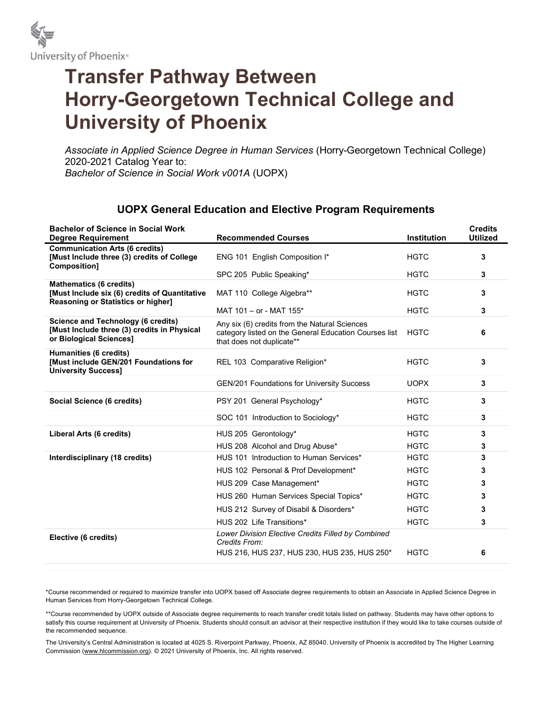

## Transfer Pathway Between Horry-Georgetown Technical College and University of Phoenix

Associate in Applied Science Degree in Human Services (Horry-Georgetown Technical College) 2020-2021 Catalog Year to: Bachelor of Science in Social Work v001A (UOPX)

## UOPX General Education and Elective Program Requirements

| <b>Bachelor of Science in Social Work</b><br><b>Degree Requirement</b>                                                       | <b>Recommended Courses</b>                                                                                                          | <b>Institution</b> | <b>Credits</b><br><b>Utilized</b> |
|------------------------------------------------------------------------------------------------------------------------------|-------------------------------------------------------------------------------------------------------------------------------------|--------------------|-----------------------------------|
| <b>Communication Arts (6 credits)</b><br>[Must Include three (3) credits of College<br><b>Composition]</b>                   | ENG 101 English Composition I*                                                                                                      | <b>HGTC</b>        | 3                                 |
|                                                                                                                              | SPC 205 Public Speaking*                                                                                                            | <b>HGTC</b>        | 3                                 |
| <b>Mathematics (6 credits)</b><br>[Must Include six (6) credits of Quantitative<br><b>Reasoning or Statistics or higher]</b> | MAT 110 College Algebra**                                                                                                           | <b>HGTC</b>        | 3                                 |
|                                                                                                                              | MAT 101 - or - MAT 155*                                                                                                             | <b>HGTC</b>        | 3                                 |
| <b>Science and Technology (6 credits)</b><br>[Must Include three (3) credits in Physical<br>or Biological Sciences]          | Any six (6) credits from the Natural Sciences<br>category listed on the General Education Courses list<br>that does not duplicate** | <b>HGTC</b>        | 6                                 |
| Humanities (6 credits)<br>[Must include GEN/201 Foundations for<br><b>University Success]</b>                                | REL 103 Comparative Religion*                                                                                                       | <b>HGTC</b>        | 3                                 |
|                                                                                                                              | GEN/201 Foundations for University Success                                                                                          | <b>UOPX</b>        | 3                                 |
| Social Science (6 credits)                                                                                                   | PSY 201 General Psychology*                                                                                                         | <b>HGTC</b>        | 3                                 |
|                                                                                                                              | SOC 101 Introduction to Sociology*                                                                                                  | <b>HGTC</b>        | 3                                 |
| Liberal Arts (6 credits)                                                                                                     | HUS 205 Gerontology*                                                                                                                | <b>HGTC</b>        | 3                                 |
|                                                                                                                              | HUS 208 Alcohol and Drug Abuse*                                                                                                     | <b>HGTC</b>        | 3                                 |
| Interdisciplinary (18 credits)                                                                                               | HUS 101 Introduction to Human Services*                                                                                             | <b>HGTC</b>        | 3                                 |
|                                                                                                                              | HUS 102 Personal & Prof Development*                                                                                                | <b>HGTC</b>        | 3                                 |
|                                                                                                                              | HUS 209 Case Management*                                                                                                            | <b>HGTC</b>        | 3                                 |
|                                                                                                                              | HUS 260 Human Services Special Topics*                                                                                              | <b>HGTC</b>        | 3                                 |
|                                                                                                                              | HUS 212 Survey of Disabil & Disorders*                                                                                              | <b>HGTC</b>        | 3                                 |
|                                                                                                                              | HUS 202 Life Transitions*                                                                                                           | <b>HGTC</b>        | 3                                 |
| Elective (6 credits)                                                                                                         | Lower Division Elective Credits Filled by Combined<br>Credits From:                                                                 |                    |                                   |
|                                                                                                                              | HUS 216, HUS 237, HUS 230, HUS 235, HUS 250*                                                                                        | <b>HGTC</b>        | 6                                 |

\*Course recommended or required to maximize transfer into UOPX based off Associate degree requirements to obtain an Associate in Applied Science Degree in Human Services from Horry-Georgetown Technical College.

\*\*Course recommended by UOPX outside of Associate degree requirements to reach transfer credit totals listed on pathway. Students may have other options to satisfy this course requirement at University of Phoenix. Students should consult an advisor at their respective institution if they would like to take courses outside of the recommended sequence.

The University's Central Administration is located at 4025 S. Riverpoint Parkway, Phoenix, AZ 85040. University of Phoenix is accredited by The Higher Learning Commission (www.hlcommission.org). © 2021 University of Phoenix, Inc. All rights reserved.